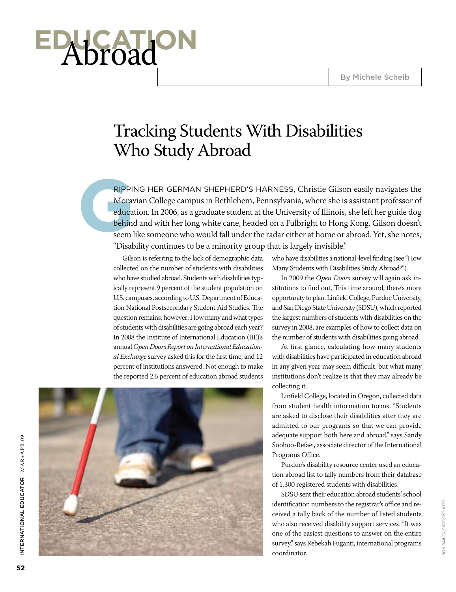# **educational**

# Tracking Students With Disabilities Who Study Abroad

**GRIPPII**<br>Morav<br>educa<br>behind<br>seem l ripping her German Shepherd's harness, Christie Gilson easily navigates the Moravian College campus in Bethlehem, Pennsylvania, where she is assistant professor of education. In 2006, as a graduate student at the University of Illinois, she left her guide dog behind and with her long white cane, headed on a Fulbright to Hong Kong. Gilson doesn't seem like someone who would fall under the radar either at home or abroad. Yet, she notes, "Disability continues to be a minority group that is largely invisible."

> Gilson is referring to the lack of demographic data collected on the number of students with disabilities who have studied abroad. Students with disabilities typically represent 9 percent of the student population on U.S. campuses, according to U.S. Department of Education National Postsecondary Student Aid Studies. The question remains, however: How many and what types of students with disabilities are going abroad each year? In 2008 the Institute of International Education (IIE)'s annual *Open Doors Report on International Educational Exchange* survey asked this for the first time, and 12 percent of institutions answered. Not enough to make the reported 2.6 percent of education abroad students



who have disabilities a national-level finding (see "How Many Students with Disabilities Study Abroad?").

In 2009 the *Open Doors* survey will again ask institutions to find out. This time around, there's more opportunity to plan. Linfield College, Purdue University, and San Diego State University (SDSU), which reported the largest numbers of students with disabilities on the survey in 2008, are examples of how to collect data on the number of students with disabilities going abroad.

At first glance, calculating how many students with disabilities have participated in education abroad in any given year may seem difficult, but what many institutions don't realize is that they may already be collecting it.

Linfield College, located in Oregon, collected data from student health information forms. "Students are asked to disclose their disabilities after they are admitted to our programs so that we can provide adequate support both here and abroad," says Sandy Soohoo-Refaei, associate director of the International Programs Office.

Purdue's disability resource center used an education abroad list to tally numbers from their database of 1,300 registered students with disabilities.

SDSU sent their education abroad students' school identification numbers to the registrar's office and received a tally back of the number of listed students who also received disability support services. "It was one of the easiest questions to answer on the entire survey," says Rebekah Fuganti, international programs coordinator.

International Educ

INTERNATIONAL EDUCATOR MAR+APR.09

ator MAR+APR.09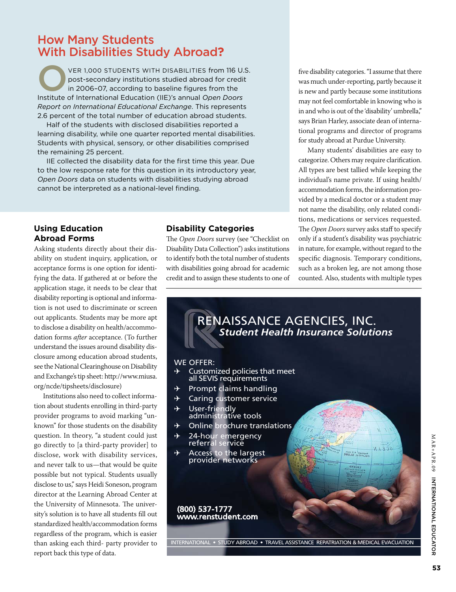#### How Many Students With Disabilities Study Abroad**?**

VER 1,000 STUDENTS WITH DISABILITIES from 116 U.S.<br>post-secondary institutions studied abroad for credit<br>in 2006-07, according to baseline figures from the post-secondary institutions studied abroad for credit in 2006–07, according to baseline figures from the Institute of International Education (IIE)'s annual *Open Doors Report on International Educational Exchange*. This represents 2.6 percent of the total number of education abroad students.

Half of the students with disclosed disabilities reported a learning disability, while one quarter reported mental disabilities. Students with physical, sensory, or other disabilities comprised the remaining 25 percent.

IIE collected the disability data for the first time this year. Due to the low response rate for this question in its introductory year, *Open Doors* data on students with disabilities studying abroad cannot be interpreted as a national-level finding.

#### **Using Education Abroad Forms**

Asking students directly about their disability on student inquiry, application, or acceptance forms is one option for identifying the data. If gathered at or before the application stage, it needs to be clear that disability reporting is optional and information is not used to discriminate or screen out applicants. Students may be more apt to disclose a disability on health/accommodation forms *after* acceptance. (To further understand the issues around disability disclosure among education abroad students, see the National Clearinghouse on Disability and Exchange's tip sheet: http://www.miusa. org/ncde/tipsheets/disclosure)

Institutions also need to collect information about students enrolling in third-party provider programs to avoid marking "unknown" for those students on the disability question. In theory, "a student could just go directly to [a third-party provider] to disclose, work with disability services, and never talk to us—that would be quite possible but not typical. Students usually disclose to us," says Heidi Soneson, program director at the Learning Abroad Center at the University of Minnesota. The university's solution is to have all students fill out standardized health/accommodation forms regardless of the program, which is easier than asking each third- party provider to report back this type of data.

#### **Disability Categories**

The *Open Doors* survey (see "Checklist on Disability Data Collection") asks institutions to identify both the total number of students with disabilities going abroad for academic credit and to assign these students to one of

five disability categories. "I assume that there was much under-reporting, partly because it is new and partly because some institutions may not feel comfortable in knowing who is in and who is out of the 'disability' umbrella," says Brian Harley, associate dean of international programs and director of programs for study abroad at Purdue University.

Many students' disabilities are easy to categorize. Others may require clarification. All types are best tallied while keeping the individual's name private. If using health/ accommodation forms, the information provided by a medical doctor or a student may not name the disability, only related conditions, medications or services requested. The *Open Doors* survey asks staff to specify only if a student's disability was psychiatric in nature, for example, without regard to the specific diagnosis. Temporary conditions, such as a broken leg, are not among those counted. Also, students with multiple types

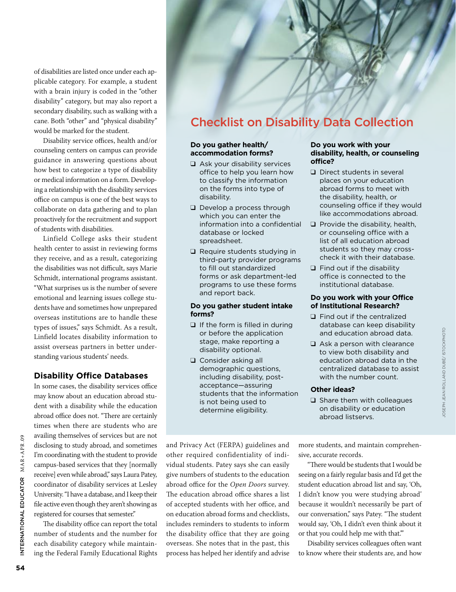of disabilities are listed once under each applicable category. For example, a student with a brain injury is coded in the "other disability" category, but may also report a secondary disability, such as walking with a cane. Both "other" and "physical disability" would be marked for the student.

Disability service offices, health and/or counseling centers on campus can provide guidance in answering questions about how best to categorize a type of disability or medical information on a form. Developing a relationship with the disability services office on campus is one of the best ways to collaborate on data gathering and to plan proactively for the recruitment and support of students with disabilities.

Linfield College asks their student health center to assist in reviewing forms they receive, and as a result, categorizing the disabilities was not difficult, says Marie Schmidt, international programs assistant. "What surprises us is the number of severe emotional and learning issues college students have and sometimes how unprepared overseas institutions are to handle these types of issues," says Schmidt. As a result, Linfield locates disability information to assist overseas partners in better understanding various students' needs.

#### **Disability Office Databases**

In some cases, the disability services office may know about an education abroad student with a disability while the education abroad office does not. "There are certainly times when there are students who are availing themselves of services but are not disclosing to study abroad, and sometimes I'm coordinating with the student to provide campus-based services that they [normally receive] even while abroad," says Laura Patey, coordinator of disability services at Lesley University. "I have a database, and I keep their file active even though they aren't showing as registered for courses that semester."

The disability office can report the total number of students and the number for each disability category while maintaining the Federal Family Educational Rights

### Checklist on Disability Data Collection

#### **Do you gather health/ accommodation forms?**

- ❑ Ask your disability services office to help you learn how to classify the information on the forms into type of disability.
- ❑ Develop a process through which you can enter the information into a confidential database or locked spreadsheet.
- ❑ Require students studying in third-party provider programs to fill out standardized forms or ask department-led programs to use these forms and report back.

#### **Do you gather student intake forms?**

- ❑ If the form is filled in during or before the application stage, make reporting a disability optional.
- ❑ Consider asking all demographic questions, including disability, postacceptance—assuring students that the information is not being used to determine eligibility.

#### **Do you work with your disability, health, or counseling office?**

- ❑ Direct students in several places on your education abroad forms to meet with the disability, health, or counseling office if they would like accommodations abroad.
- ❑ Provide the disability, health, or counseling office with a list of all education abroad students so they may crosscheck it with their database.
- ❑ Find out if the disability office is connected to the institutional database.

#### **Do you work with your Office of Institutional Research?**

- ❑ Find out if the centralized database can keep disability and education abroad data.
- ❑ Ask a person with clearance to view both disability and education abroad data in the centralized database to assist with the number count.

#### **Other ideas?**

□ Share them with colleagues on disability or education abroad listservs.

and Privacy Act (FERPA) guidelines and other required confidentiality of individual students. Patey says she can easily give numbers of students to the education abroad office for the *Open Doors* survey. The education abroad office shares a list of accepted students with her office, and on education abroad forms and checklists, includes reminders to students to inform the disability office that they are going overseas. She notes that in the past, this process has helped her identify and advise

more students, and maintain comprehensive, accurate records.

"There would be students that I would be seeing on a fairly regular basis and I'd get the student education abroad list and say, 'Oh, I didn't know you were studying abroad' because it wouldn't necessarily be part of our conversation," says Patey. "The student would say, 'Oh, I didn't even think about it or that you could help me with that.'"

Disability services colleagues often want to know where their students are, and how

ator M AR+APR .09

NTERNATIONAL EDUCATOR MAR+APR.09